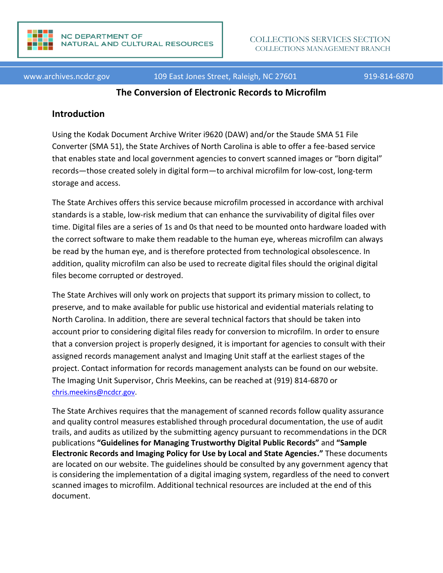

www.archives.ncdcr.gov 109 East Jones Street, Raleigh, NC 27601 919-814-6870

#### **The Conversion of Electronic Records to Microfilm**

#### **Introduction**

Using the Kodak Document Archive Writer i9620 (DAW) and/or the Staude SMA 51 File Converter (SMA 51), the State Archives of North Carolina is able to offer a fee-based service that enables state and local government agencies to convert scanned images or "born digital" records—those created solely in digital form—to archival microfilm for low-cost, long-term storage and access.

The State Archives offers this service because microfilm processed in accordance with archival standards is a stable, low-risk medium that can enhance the survivability of digital files over time. Digital files are a series of 1s and 0s that need to be mounted onto hardware loaded with the correct software to make them readable to the human eye, whereas microfilm can always be read by the human eye, and is therefore protected from technological obsolescence. In addition, quality microfilm can also be used to recreate digital files should the original digital files become corrupted or destroyed.

The State Archives will only work on projects that support its primary mission to collect, to preserve, and to make available for public use historical and evidential materials relating to North Carolina. In addition, there are several technical factors that should be taken into account prior to considering digital files ready for conversion to microfilm. In order to ensure that a conversion project is properly designed, it is important for agencies to consult with their assigned records management analyst and Imaging Unit staff at the earliest stages of the project. Contact information for records management analysts can be found on our website. The Imaging Unit Supervisor, Chris Meekins, can be reached at (919) 814-6870 or [chris.meekins@ncdcr.gov.](mailto:chris.meekins@ncdcr.gov)

The State Archives requires that the management of scanned records follow quality assurance and quality control measures established through procedural documentation, the use of audit trails, and audits as utilized by the submitting agency pursuant to recommendations in the DCR publications **"Guidelines for Managing Trustworthy Digital Public Records"** and **"Sample Electronic Records and Imaging Policy for Use by Local and State Agencies."** These documents are located on our website. The guidelines should be consulted by any government agency that is considering the implementation of a digital imaging system, regardless of the need to convert scanned images to microfilm. Additional technical resources are included at the end of this document.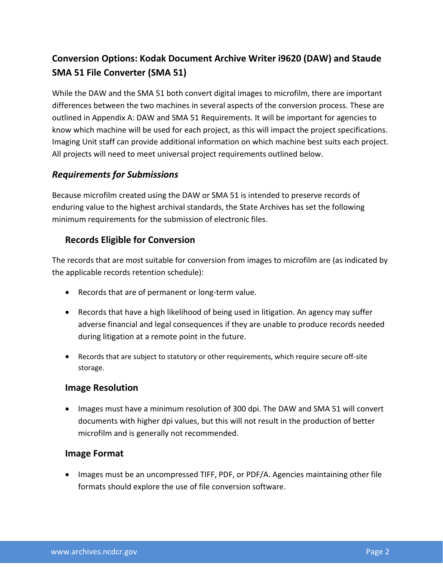# **Conversion Options: Kodak Document Archive Writer i9620 (DAW) and Staude SMA 51 File Converter (SMA 51)**

While the DAW and the SMA 51 both convert digital images to microfilm, there are important differences between the two machines in several aspects of the conversion process. These are outlined in Appendix A: DAW and SMA 51 Requirements. It will be important for agencies to know which machine will be used for each project, as this will impact the project specifications. Imaging Unit staff can provide additional information on which machine best suits each project. All projects will need to meet universal project requirements outlined below.

### *Requirements for Submissions*

Because microfilm created using the DAW or SMA 51 is intended to preserve records of enduring value to the highest archival standards, the State Archives has set the following minimum requirements for the submission of electronic files.

### **Records Eligible for Conversion**

The records that are most suitable for conversion from images to microfilm are (as indicated by the applicable records retention schedule):

- Records that are of permanent or long-term value.
- Records that have a high likelihood of being used in litigation. An agency may suffer adverse financial and legal consequences if they are unable to produce records needed during litigation at a remote point in the future.
- Records that are subject to statutory or other requirements, which require secure off-site storage.

### **Image Resolution**

• Images must have a minimum resolution of 300 dpi. The DAW and SMA 51 will convert documents with higher dpi values, but this will not result in the production of better microfilm and is generally not recommended.

### **Image Format**

• Images must be an uncompressed TIFF, PDF, or PDF/A. Agencies maintaining other file formats should explore the use of file conversion software.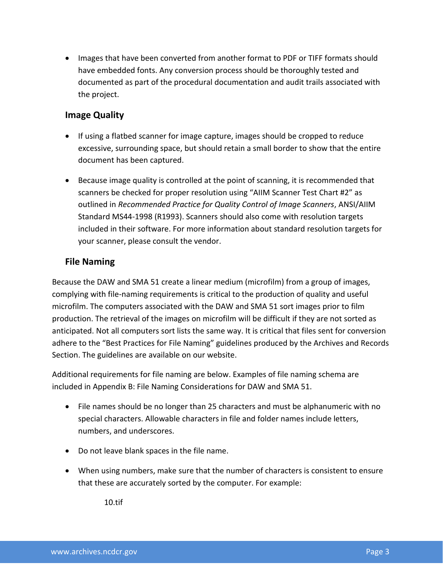• Images that have been converted from another format to PDF or TIFF formats should have embedded fonts. Any conversion process should be thoroughly tested and documented as part of the procedural documentation and audit trails associated with the project.

### **Image Quality**

- If using a flatbed scanner for image capture, images should be cropped to reduce excessive, surrounding space, but should retain a small border to show that the entire document has been captured.
- Because image quality is controlled at the point of scanning, it is recommended that scanners be checked for proper resolution using "AIIM Scanner Test Chart #2" as outlined in *Recommended Practice for Quality Control of Image Scanners*, ANSI/AIIM Standard MS44-1998 (R1993). Scanners should also come with resolution targets included in their software. For more information about standard resolution targets for your scanner, please consult the vendor.

# **File Naming**

Because the DAW and SMA 51 create a linear medium (microfilm) from a group of images, complying with file-naming requirements is critical to the production of quality and useful microfilm. The computers associated with the DAW and SMA 51 sort images prior to film production. The retrieval of the images on microfilm will be difficult if they are not sorted as anticipated. Not all computers sort lists the same way. It is critical that files sent for conversion adhere to the "Best Practices for File Naming" guidelines produced by the Archives and Records Section. The guidelines are available on our website.

Additional requirements for file naming are below. Examples of file naming schema are included in Appendix B: File Naming Considerations for DAW and SMA 51.

- File names should be no longer than 25 characters and must be alphanumeric with no special characters. Allowable characters in file and folder names include letters, numbers, and underscores.
- Do not leave blank spaces in the file name.
- When using numbers, make sure that the number of characters is consistent to ensure that these are accurately sorted by the computer. For example:

10.tif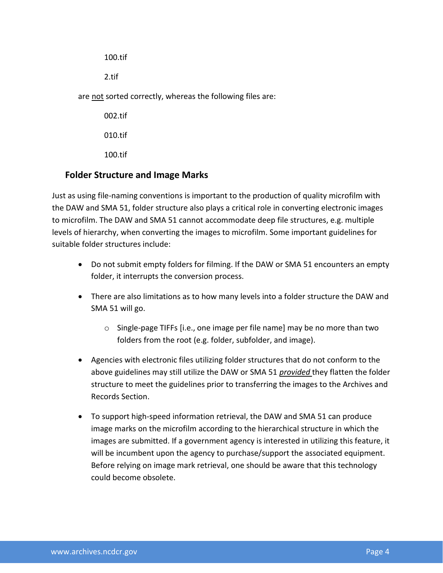100.tif 2.tif are not sorted correctly, whereas the following files are: 002.tif 010.tif

100.tif

### **Folder Structure and Image Marks**

Just as using file-naming conventions is important to the production of quality microfilm with the DAW and SMA 51, folder structure also plays a critical role in converting electronic images to microfilm. The DAW and SMA 51 cannot accommodate deep file structures, e.g. multiple levels of hierarchy, when converting the images to microfilm. Some important guidelines for suitable folder structures include:

- Do not submit empty folders for filming. If the DAW or SMA 51 encounters an empty folder, it interrupts the conversion process.
- There are also limitations as to how many levels into a folder structure the DAW and SMA 51 will go.
	- o Single-page TIFFs [i.e., one image per file name] may be no more than two folders from the root (e.g. folder, subfolder, and image).
- Agencies with electronic files utilizing folder structures that do not conform to the above guidelines may still utilize the DAW or SMA 51 *provided* they flatten the folder structure to meet the guidelines prior to transferring the images to the Archives and Records Section.
- To support high-speed information retrieval, the DAW and SMA 51 can produce image marks on the microfilm according to the hierarchical structure in which the images are submitted. If a government agency is interested in utilizing this feature, it will be incumbent upon the agency to purchase/support the associated equipment. Before relying on image mark retrieval, one should be aware that this technology could become obsolete.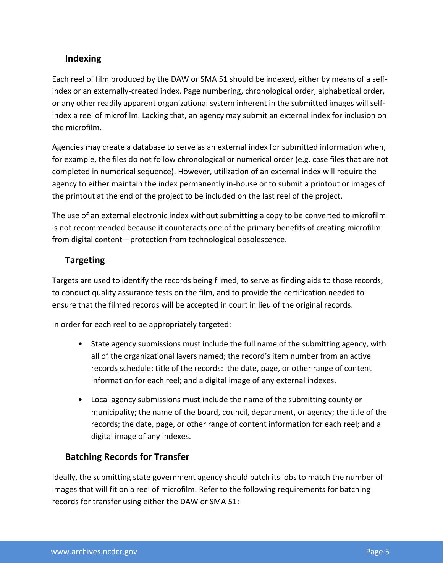# **Indexing**

Each reel of film produced by the DAW or SMA 51 should be indexed, either by means of a selfindex or an externally-created index. Page numbering, chronological order, alphabetical order, or any other readily apparent organizational system inherent in the submitted images will selfindex a reel of microfilm. Lacking that, an agency may submit an external index for inclusion on the microfilm.

Agencies may create a database to serve as an external index for submitted information when, for example, the files do not follow chronological or numerical order (e.g. case files that are not completed in numerical sequence). However, utilization of an external index will require the agency to either maintain the index permanently in-house or to submit a printout or images of the printout at the end of the project to be included on the last reel of the project.

The use of an external electronic index without submitting a copy to be converted to microfilm is not recommended because it counteracts one of the primary benefits of creating microfilm from digital content—protection from technological obsolescence.

### **Targeting**

Targets are used to identify the records being filmed, to serve as finding aids to those records, to conduct quality assurance tests on the film, and to provide the certification needed to ensure that the filmed records will be accepted in court in lieu of the original records.

In order for each reel to be appropriately targeted:

- State agency submissions must include the full name of the submitting agency, with all of the organizational layers named; the record's item number from an active records schedule; title of the records: the date, page, or other range of content information for each reel; and a digital image of any external indexes.
- Local agency submissions must include the name of the submitting county or municipality; the name of the board, council, department, or agency; the title of the records; the date, page, or other range of content information for each reel; and a digital image of any indexes.

### **Batching Records for Transfer**

Ideally, the submitting state government agency should batch its jobs to match the number of images that will fit on a reel of microfilm. Refer to the following requirements for batching records for transfer using either the DAW or SMA 51: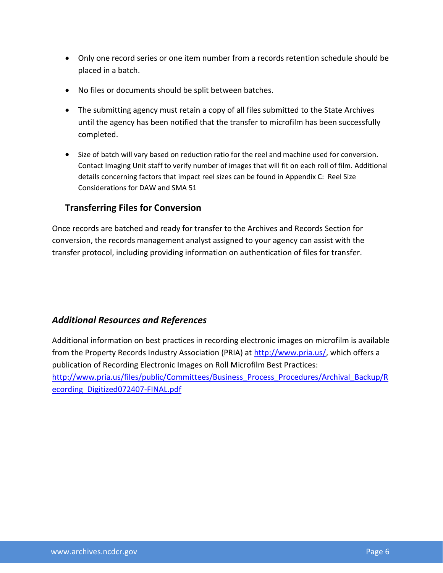- Only one record series or one item number from a records retention schedule should be placed in a batch.
- No files or documents should be split between batches.
- The submitting agency must retain a copy of all files submitted to the State Archives until the agency has been notified that the transfer to microfilm has been successfully completed.
- Size of batch will vary based on reduction ratio for the reel and machine used for conversion. Contact Imaging Unit staff to verify number of images that will fit on each roll of film. Additional details concerning factors that impact reel sizes can be found in Appendix C: Reel Size Considerations for DAW and SMA 51

### **Transferring Files for Conversion**

Once records are batched and ready for transfer to the Archives and Records Section for conversion, the records management analyst assigned to your agency can assist with the transfer protocol, including providing information on authentication of files for transfer.

### *Additional Resources and References*

Additional information on best practices in recording electronic images on microfilm is available from the Property Records Industry Association (PRIA) at [http://www.pria.us/,](http://www.pria.us/) which offers a publication of Recording Electronic Images on Roll Microfilm Best Practices: [http://www.pria.us/files/public/Committees/Business\\_Process\\_Procedures/Archival\\_Backup/R](http://www.pria.us/files/public/Committees/Business_Process_Procedures/Archival_Backup/Recording_Digitized072407-FINAL.pdf) [ecording\\_Digitized072407-FINAL.pdf](http://www.pria.us/files/public/Committees/Business_Process_Procedures/Archival_Backup/Recording_Digitized072407-FINAL.pdf)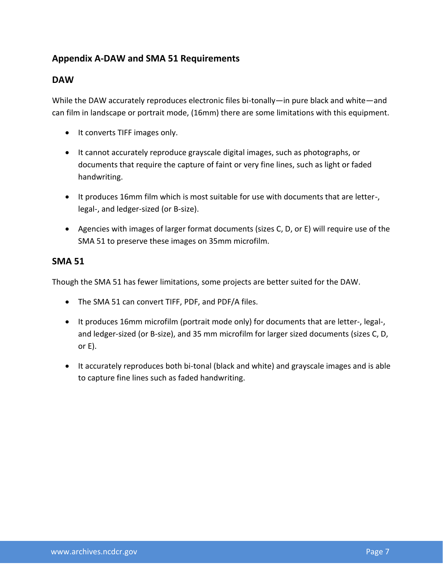# **Appendix A-DAW and SMA 51 Requirements**

### **DAW**

While the DAW accurately reproduces electronic files bi-tonally—in pure black and white—and can film in landscape or portrait mode, (16mm) there are some limitations with this equipment.

- It converts TIFF images only.
- It cannot accurately reproduce grayscale digital images, such as photographs, or documents that require the capture of faint or very fine lines, such as light or faded handwriting.
- It produces 16mm film which is most suitable for use with documents that are letter-, legal-, and ledger-sized (or B-size).
- Agencies with images of larger format documents (sizes C, D, or E) will require use of the SMA 51 to preserve these images on 35mm microfilm.

### **SMA 51**

Though the SMA 51 has fewer limitations, some projects are better suited for the DAW.

- The SMA 51 can convert TIFF, PDF, and PDF/A files.
- It produces 16mm microfilm (portrait mode only) for documents that are letter-, legal-, and ledger-sized (or B-size), and 35 mm microfilm for larger sized documents (sizes C, D, or E).
- It accurately reproduces both bi-tonal (black and white) and grayscale images and is able to capture fine lines such as faded handwriting.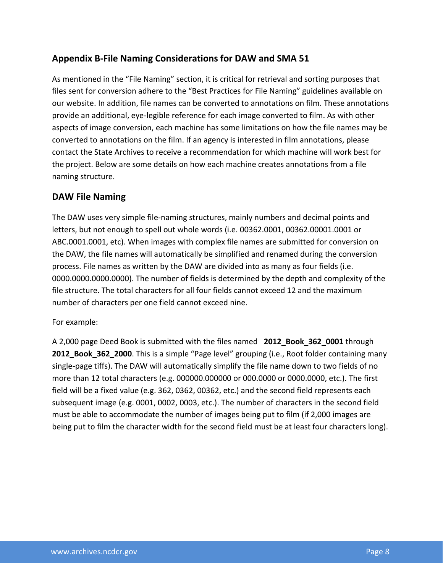# **Appendix B-File Naming Considerations for DAW and SMA 51**

As mentioned in the "File Naming" section, it is critical for retrieval and sorting purposes that files sent for conversion adhere to the "Best Practices for File Naming" guidelines available on our website. In addition, file names can be converted to annotations on film. These annotations provide an additional, eye-legible reference for each image converted to film. As with other aspects of image conversion, each machine has some limitations on how the file names may be converted to annotations on the film. If an agency is interested in film annotations, please contact the State Archives to receive a recommendation for which machine will work best for the project. Below are some details on how each machine creates annotations from a file naming structure.

### **DAW File Naming**

The DAW uses very simple file-naming structures, mainly numbers and decimal points and letters, but not enough to spell out whole words (i.e. 00362.0001, 00362.00001.0001 or ABC.0001.0001, etc). When images with complex file names are submitted for conversion on the DAW, the file names will automatically be simplified and renamed during the conversion process. File names as written by the DAW are divided into as many as four fields (i.e. 0000.0000.0000.0000). The number of fields is determined by the depth and complexity of the file structure. The total characters for all four fields cannot exceed 12 and the maximum number of characters per one field cannot exceed nine.

#### For example:

A 2,000 page Deed Book is submitted with the files named **2012\_Book\_362\_0001** through **2012\_Book\_362\_2000**. This is a simple "Page level" grouping (i.e., Root folder containing many single-page tiffs). The DAW will automatically simplify the file name down to two fields of no more than 12 total characters (e.g. 000000.000000 or 000.0000 or 0000.0000, etc.). The first field will be a fixed value (e.g. 362, 0362, 00362, etc.) and the second field represents each subsequent image (e.g. 0001, 0002, 0003, etc.). The number of characters in the second field must be able to accommodate the number of images being put to film (if 2,000 images are being put to film the character width for the second field must be at least four characters long).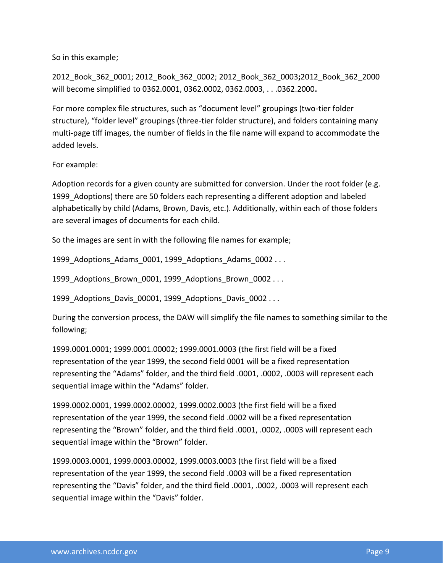So in this example;

2012\_Book\_362\_0001; 2012\_Book\_362\_0002; 2012\_Book\_362\_0003**;**2012\_Book\_362\_2000 will become simplified to 0362.0001, 0362.0002, 0362.0003, . . .0362.2000**.**

For more complex file structures, such as "document level" groupings (two-tier folder structure), "folder level" groupings (three-tier folder structure), and folders containing many multi-page tiff images, the number of fields in the file name will expand to accommodate the added levels.

For example:

Adoption records for a given county are submitted for conversion. Under the root folder (e.g. 1999 Adoptions) there are 50 folders each representing a different adoption and labeled alphabetically by child (Adams, Brown, Davis, etc.). Additionally, within each of those folders are several images of documents for each child.

So the images are sent in with the following file names for example;

1999 Adoptions Adams 0001, 1999 Adoptions Adams 0002 . . .

1999 Adoptions Brown 0001, 1999 Adoptions Brown 0002 . . .

1999 Adoptions Davis 00001, 1999 Adoptions Davis 0002 . . .

During the conversion process, the DAW will simplify the file names to something similar to the following;

1999.0001.0001; 1999.0001.00002; 1999.0001.0003 (the first field will be a fixed representation of the year 1999, the second field 0001 will be a fixed representation representing the "Adams" folder, and the third field .0001, .0002, .0003 will represent each sequential image within the "Adams" folder.

1999.0002.0001, 1999.0002.00002, 1999.0002.0003 (the first field will be a fixed representation of the year 1999, the second field .0002 will be a fixed representation representing the "Brown" folder, and the third field .0001, .0002, .0003 will represent each sequential image within the "Brown" folder.

1999.0003.0001, 1999.0003.00002, 1999.0003.0003 (the first field will be a fixed representation of the year 1999, the second field .0003 will be a fixed representation representing the "Davis" folder, and the third field .0001, .0002, .0003 will represent each sequential image within the "Davis" folder.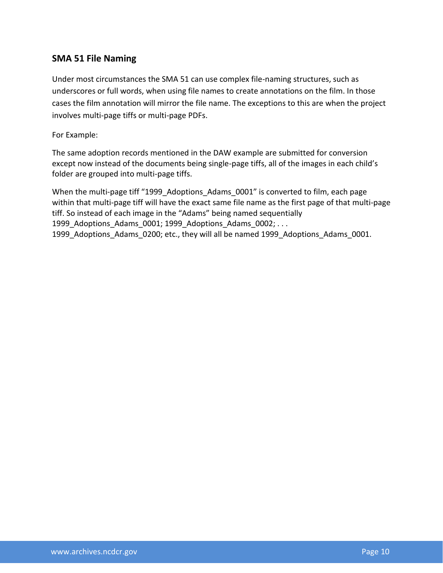### **SMA 51 File Naming**

Under most circumstances the SMA 51 can use complex file-naming structures, such as underscores or full words, when using file names to create annotations on the film. In those cases the film annotation will mirror the file name. The exceptions to this are when the project involves multi-page tiffs or multi-page PDFs.

For Example:

The same adoption records mentioned in the DAW example are submitted for conversion except now instead of the documents being single-page tiffs, all of the images in each child's folder are grouped into multi-page tiffs.

When the multi-page tiff "1999 Adoptions Adams 0001" is converted to film, each page within that multi-page tiff will have the exact same file name as the first page of that multi-page tiff. So instead of each image in the "Adams" being named sequentially 1999 Adoptions Adams 0001; 1999 Adoptions Adams 0002; ... 1999 Adoptions Adams 0200; etc., they will all be named 1999 Adoptions Adams 0001.